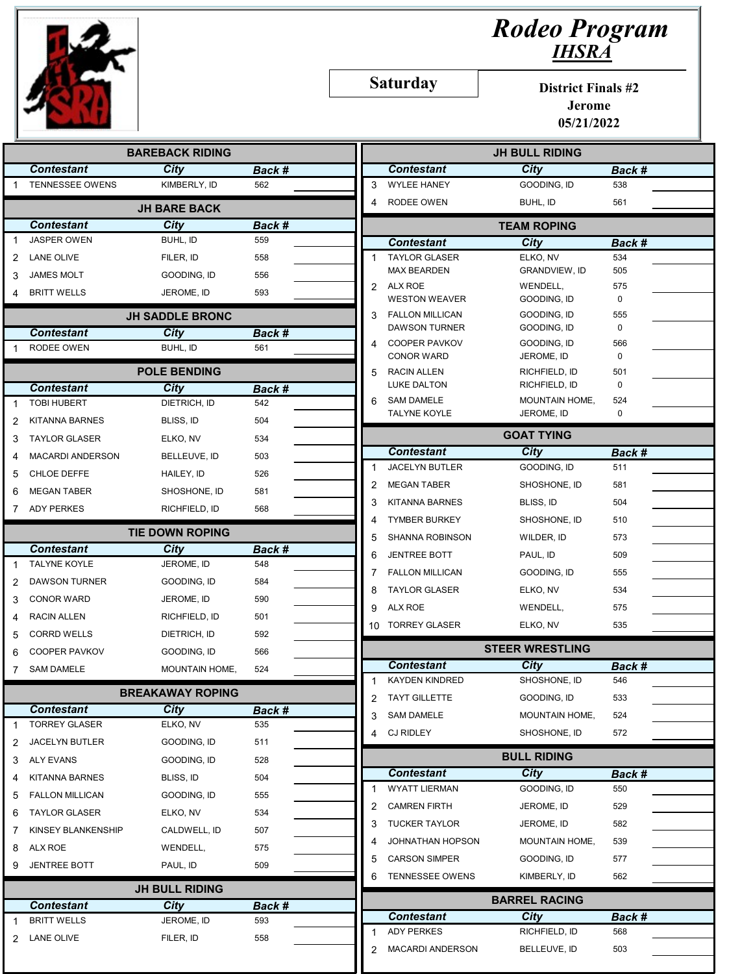

## Rodeo Program IHSRA

Saturday

District Finals #2 Jerome

05/21/2022

| <b>BAREBACK RIDING</b> |                                            |                         |        |   | <b>JH BULL RIDING</b>                   |                             |               |  |
|------------------------|--------------------------------------------|-------------------------|--------|---|-----------------------------------------|-----------------------------|---------------|--|
|                        | <b>Contestant</b>                          | City                    | Back # |   | <b>Contestant</b>                       | <b>City</b>                 | Back #        |  |
|                        | <b>TENNESSEE OWENS</b>                     | KIMBERLY, ID            | 562    | 3 | <b>WYLEE HANEY</b>                      | GOODING, ID                 | 538           |  |
|                        |                                            | <b>JH BARE BACK</b>     |        | 4 | RODEE OWEN                              | BUHL, ID                    | 561           |  |
|                        | <b>Contestant</b>                          | City                    | Back # |   |                                         | <b>TEAM ROPING</b>          |               |  |
|                        | <b>JASPER OWEN</b>                         | BUHL, ID                | 559    |   | <b>Contestant</b>                       | <b>City</b>                 | Back #        |  |
| 2                      | LANE OLIVE                                 | FILER, ID               | 558    |   | <b>TAYLOR GLASER</b>                    | ELKO, NV                    | 534           |  |
| 3                      | <b>JAMES MOLT</b>                          | GOODING, ID             | 556    |   | <b>MAX BEARDEN</b>                      | <b>GRANDVIEW, ID</b>        | 505           |  |
| 4                      | <b>BRITT WELLS</b>                         | JEROME, ID              | 593    |   | 2 ALX ROE<br><b>WESTON WEAVER</b>       | WENDELL,<br>GOODING, ID     | 575<br>0      |  |
|                        |                                            | <b>JH SADDLE BRONC</b>  |        | 3 | <b>FALLON MILLICAN</b>                  | GOODING, ID                 | 555           |  |
|                        | <b>Contestant</b>                          | <b>City</b>             | Back # |   | <b>DAWSON TURNER</b>                    | GOODING, ID                 | 0             |  |
|                        | RODEE OWEN                                 | BUHL, ID                | 561    |   | <b>COOPER PAVKOV</b>                    | GOODING, ID                 | 566           |  |
|                        |                                            | <b>POLE BENDING</b>     |        | 5 | <b>CONOR WARD</b><br><b>RACIN ALLEN</b> | JEROME, ID<br>RICHFIELD, ID | 0<br>501      |  |
|                        | <b>Contestant</b>                          | City                    | Back # |   | LUKE DALTON                             | RICHFIELD, ID               | $\mathbf 0$   |  |
|                        | <b>TOBI HUBERT</b>                         | DIETRICH, ID            | 542    | 6 | <b>SAM DAMELE</b>                       | MOUNTAIN HOME,              | 524           |  |
|                        | <b>KITANNA BARNES</b>                      | BLISS, ID               | 504    |   | <b>TALYNE KOYLE</b>                     | JEROME, ID                  | 0             |  |
| 3                      | <b>TAYLOR GLASER</b>                       | ELKO, NV                | 534    |   |                                         | <b>GOAT TYING</b>           |               |  |
|                        | <b>MACARDI ANDERSON</b>                    | BELLEUVE, ID            | 503    |   | <b>Contestant</b>                       | <b>City</b>                 | Back #        |  |
| 5                      | CHLOE DEFFE                                | HAILEY, ID              | 526    |   | <b>JACELYN BUTLER</b>                   | GOODING, ID                 | 511           |  |
| 6                      | <b>MEGAN TABER</b>                         | SHOSHONE, ID            | 581    | 2 | <b>MEGAN TABER</b>                      | SHOSHONE, ID                | 581           |  |
|                        | ADY PERKES                                 | RICHFIELD, ID           | 568    | 3 | <b>KITANNA BARNES</b>                   | BLISS, ID                   | 504           |  |
|                        |                                            |                         |        | 4 | <b>TYMBER BURKEY</b>                    | SHOSHONE, ID                | 510           |  |
|                        |                                            | <b>TIE DOWN ROPING</b>  |        | 5 | <b>SHANNA ROBINSON</b>                  | WILDER, ID                  | 573           |  |
|                        | <b>Contestant</b>                          | City                    | Back # | 6 | <b>JENTREE BOTT</b>                     | PAUL, ID                    | 509           |  |
|                        | <b>TALYNE KOYLE</b>                        | JEROME, ID              | 548    | 7 | <b>FALLON MILLICAN</b>                  | GOODING, ID                 | 555           |  |
| 2                      | <b>DAWSON TURNER</b>                       | GOODING, ID             | 584    | 8 | <b>TAYLOR GLASER</b>                    | ELKO, NV                    | 534           |  |
| 3                      | <b>CONOR WARD</b>                          | JEROME, ID              | 590    | 9 | ALX ROE                                 | WENDELL,                    | 575           |  |
| 4                      | <b>RACIN ALLEN</b>                         | RICHFIELD, ID           | 501    |   | 10 TORREY GLASER                        | ELKO, NV                    | 535           |  |
|                        | <b>CORRD WELLS</b>                         | DIETRICH, ID            | 592    |   |                                         | <b>STEER WRESTLING</b>      |               |  |
| 6                      | <b>COOPER PAVKOV</b>                       | GOODING, ID             | 566    |   | <b>Contestant</b>                       | City                        |               |  |
| 7                      | <b>SAM DAMELE</b>                          | MOUNTAIN HOME,          | 524    | 1 | <b>KAYDEN KINDRED</b>                   | SHOSHONE, ID                | Back #<br>546 |  |
|                        |                                            | <b>BREAKAWAY ROPING</b> |        | z | <b>TAYT GILLETTE</b>                    | GOODING, ID                 | 533           |  |
|                        | <b>Contestant</b>                          | <b>City</b>             | Back # | 3 | <b>SAM DAMELE</b>                       | MOUNTAIN HOME,              | 524           |  |
|                        | <b>TORREY GLASER</b>                       | ELKO, NV                | 535    | 4 | <b>CJ RIDLEY</b>                        | SHOSHONE, ID                | 572           |  |
| 2                      | <b>JACELYN BUTLER</b>                      | GOODING, ID             | 511    |   |                                         |                             |               |  |
| 3                      | <b>ALY EVANS</b>                           | GOODING, ID             | 528    |   |                                         | <b>BULL RIDING</b>          |               |  |
| 4                      | <b>KITANNA BARNES</b>                      | BLISS, ID               | 504    |   | <b>Contestant</b>                       | City                        | Back #        |  |
| 5                      | <b>FALLON MILLICAN</b>                     | GOODING, ID             | 555    |   | <b>WYATT LIERMAN</b>                    | GOODING, ID                 | 550           |  |
| 6                      | <b>TAYLOR GLASER</b>                       | ELKO, NV                | 534    | 2 | <b>CAMREN FIRTH</b>                     | JEROME, ID                  | 529           |  |
| 7                      | <b>KINSEY BLANKENSHIP</b>                  | CALDWELL, ID            | 507    | 3 | <b>TUCKER TAYLOR</b>                    | JEROME, ID                  | 582           |  |
| 8                      | ALX ROE                                    | WENDELL,                | 575    |   | JOHNATHAN HOPSON                        | MOUNTAIN HOME,              | 539           |  |
| 9                      | <b>JENTREE BOTT</b>                        | PAUL, ID                | 509    | 5 | <b>CARSON SIMPER</b>                    | GOODING, ID                 | 577           |  |
|                        |                                            | <b>JH BULL RIDING</b>   |        | 6 | <b>TENNESSEE OWENS</b>                  | KIMBERLY, ID                | 562           |  |
|                        | <b>Contestant</b><br><b>City</b><br>Back # |                         |        |   | <b>BARREL RACING</b>                    |                             |               |  |
|                        | <b>BRITT WELLS</b>                         | JEROME, ID              | 593    |   | <b>Contestant</b>                       | <b>City</b>                 | Back #        |  |
| 2                      | LANE OLIVE                                 | FILER, ID               | 558    |   | <b>ADY PERKES</b>                       | RICHFIELD, ID               | 568           |  |
|                        |                                            |                         |        | 2 | <b>MACARDI ANDERSON</b>                 | BELLEUVE, ID                | 503           |  |
|                        |                                            |                         |        |   |                                         |                             |               |  |